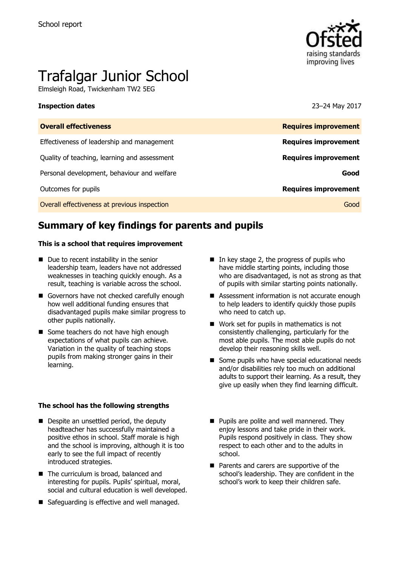

# Trafalgar Junior School

Elmsleigh Road, Twickenham TW2 5EG

#### **Inspection dates** 23–24 May 2017

| <b>Overall effectiveness</b>                 | <b>Requires improvement</b> |
|----------------------------------------------|-----------------------------|
| Effectiveness of leadership and management   | <b>Requires improvement</b> |
| Quality of teaching, learning and assessment | <b>Requires improvement</b> |
| Personal development, behaviour and welfare  | Good                        |
| Outcomes for pupils                          | <b>Requires improvement</b> |
| Overall effectiveness at previous inspection | Good                        |
|                                              |                             |

# **Summary of key findings for parents and pupils**

#### **This is a school that requires improvement**

- Due to recent instability in the senior leadership team, leaders have not addressed weaknesses in teaching quickly enough. As a result, teaching is variable across the school.
- Governors have not checked carefully enough how well additional funding ensures that disadvantaged pupils make similar progress to other pupils nationally.
- Some teachers do not have high enough expectations of what pupils can achieve. Variation in the quality of teaching stops pupils from making stronger gains in their learning.

#### **The school has the following strengths**

- Despite an unsettled period, the deputy headteacher has successfully maintained a positive ethos in school. Staff morale is high and the school is improving, although it is too early to see the full impact of recently introduced strategies.
- The curriculum is broad, balanced and interesting for pupils. Pupils' spiritual, moral, social and cultural education is well developed.
- Safeguarding is effective and well managed.
- In key stage 2, the progress of pupils who have middle starting points, including those who are disadvantaged, is not as strong as that of pupils with similar starting points nationally.
- Assessment information is not accurate enough to help leaders to identify quickly those pupils who need to catch up.
- Work set for pupils in mathematics is not consistently challenging, particularly for the most able pupils. The most able pupils do not develop their reasoning skills well.
- Some pupils who have special educational needs and/or disabilities rely too much on additional adults to support their learning. As a result, they give up easily when they find learning difficult.
- **Pupils are polite and well mannered. They** enjoy lessons and take pride in their work. Pupils respond positively in class. They show respect to each other and to the adults in school.
- **Parents and carers are supportive of the** school's leadership. They are confident in the school's work to keep their children safe.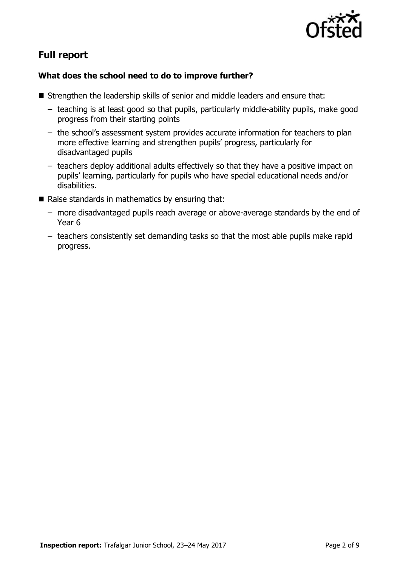

# **Full report**

### **What does the school need to do to improve further?**

- Strengthen the leadership skills of senior and middle leaders and ensure that:
	- teaching is at least good so that pupils, particularly middle-ability pupils, make good progress from their starting points
	- the school's assessment system provides accurate information for teachers to plan more effective learning and strengthen pupils' progress, particularly for disadvantaged pupils
	- teachers deploy additional adults effectively so that they have a positive impact on pupils' learning, particularly for pupils who have special educational needs and/or disabilities.
- $\blacksquare$  Raise standards in mathematics by ensuring that:
	- more disadvantaged pupils reach average or above-average standards by the end of Year 6
	- teachers consistently set demanding tasks so that the most able pupils make rapid progress.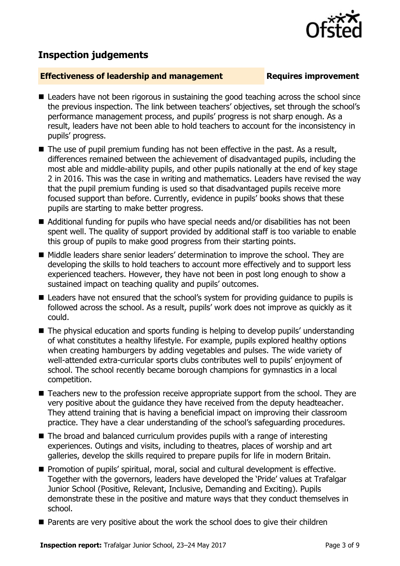## **Inspection judgements**

#### **Effectiveness of leadership and management Requires improvement**

- Leaders have not been rigorous in sustaining the good teaching across the school since the previous inspection. The link between teachers' objectives, set through the school's performance management process, and pupils' progress is not sharp enough. As a result, leaders have not been able to hold teachers to account for the inconsistency in pupils' progress.
- $\blacksquare$  The use of pupil premium funding has not been effective in the past. As a result, differences remained between the achievement of disadvantaged pupils, including the most able and middle-ability pupils, and other pupils nationally at the end of key stage 2 in 2016. This was the case in writing and mathematics. Leaders have revised the way that the pupil premium funding is used so that disadvantaged pupils receive more focused support than before. Currently, evidence in pupils' books shows that these pupils are starting to make better progress.
- Additional funding for pupils who have special needs and/or disabilities has not been spent well. The quality of support provided by additional staff is too variable to enable this group of pupils to make good progress from their starting points.
- Middle leaders share senior leaders' determination to improve the school. They are developing the skills to hold teachers to account more effectively and to support less experienced teachers. However, they have not been in post long enough to show a sustained impact on teaching quality and pupils' outcomes.
- Leaders have not ensured that the school's system for providing guidance to pupils is followed across the school. As a result, pupils' work does not improve as quickly as it could.
- The physical education and sports funding is helping to develop pupils' understanding of what constitutes a healthy lifestyle. For example, pupils explored healthy options when creating hamburgers by adding vegetables and pulses. The wide variety of well-attended extra-curricular sports clubs contributes well to pupils' enjoyment of school. The school recently became borough champions for gymnastics in a local competition.
- Teachers new to the profession receive appropriate support from the school. They are very positive about the guidance they have received from the deputy headteacher. They attend training that is having a beneficial impact on improving their classroom practice. They have a clear understanding of the school's safeguarding procedures.
- The broad and balanced curriculum provides pupils with a range of interesting experiences. Outings and visits, including to theatres, places of worship and art galleries, develop the skills required to prepare pupils for life in modern Britain.
- Promotion of pupils' spiritual, moral, social and cultural development is effective. Together with the governors, leaders have developed the 'Pride' values at Trafalgar Junior School (Positive, Relevant, Inclusive, Demanding and Exciting). Pupils demonstrate these in the positive and mature ways that they conduct themselves in school.
- Parents are very positive about the work the school does to give their children

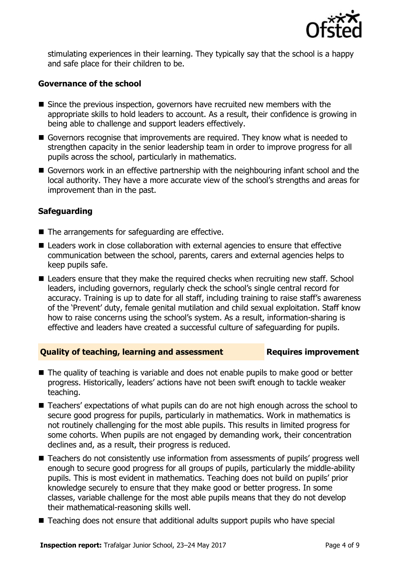

stimulating experiences in their learning. They typically say that the school is a happy and safe place for their children to be.

#### **Governance of the school**

- Since the previous inspection, governors have recruited new members with the appropriate skills to hold leaders to account. As a result, their confidence is growing in being able to challenge and support leaders effectively.
- Governors recognise that improvements are required. They know what is needed to strengthen capacity in the senior leadership team in order to improve progress for all pupils across the school, particularly in mathematics.
- Governors work in an effective partnership with the neighbouring infant school and the local authority. They have a more accurate view of the school's strengths and areas for improvement than in the past.

### **Safeguarding**

- $\blacksquare$  The arrangements for safeguarding are effective.
- Leaders work in close collaboration with external agencies to ensure that effective communication between the school, parents, carers and external agencies helps to keep pupils safe.
- Leaders ensure that they make the required checks when recruiting new staff. School leaders, including governors, regularly check the school's single central record for accuracy. Training is up to date for all staff, including training to raise staff's awareness of the 'Prevent' duty, female genital mutilation and child sexual exploitation. Staff know how to raise concerns using the school's system. As a result, information-sharing is effective and leaders have created a successful culture of safeguarding for pupils.

### **Quality of teaching, learning and assessment France Requires improvement**

- The quality of teaching is variable and does not enable pupils to make good or better progress. Historically, leaders' actions have not been swift enough to tackle weaker teaching.
- Teachers' expectations of what pupils can do are not high enough across the school to secure good progress for pupils, particularly in mathematics. Work in mathematics is not routinely challenging for the most able pupils. This results in limited progress for some cohorts. When pupils are not engaged by demanding work, their concentration declines and, as a result, their progress is reduced.
- Teachers do not consistently use information from assessments of pupils' progress well enough to secure good progress for all groups of pupils, particularly the middle-ability pupils. This is most evident in mathematics. Teaching does not build on pupils' prior knowledge securely to ensure that they make good or better progress. In some classes, variable challenge for the most able pupils means that they do not develop their mathematical-reasoning skills well.
- Teaching does not ensure that additional adults support pupils who have special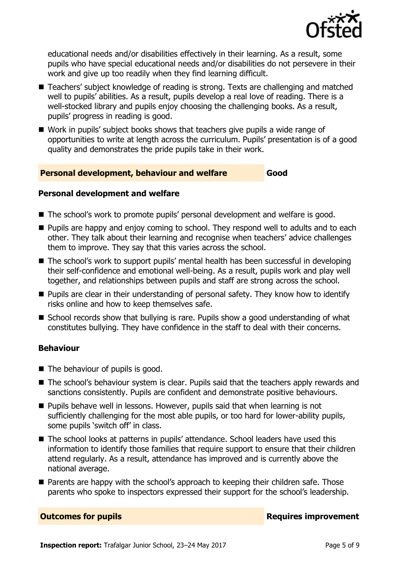

educational needs and/or disabilities effectively in their learning. As a result, some pupils who have special educational needs and/or disabilities do not persevere in their work and give up too readily when they find learning difficult.

- Teachers' subject knowledge of reading is strong. Texts are challenging and matched well to pupils' abilities. As a result, pupils develop a real love of reading. There is a well-stocked library and pupils enjoy choosing the challenging books. As a result, pupils' progress in reading is good.
- Work in pupils' subject books shows that teachers give pupils a wide range of opportunities to write at length across the curriculum. Pupils' presentation is of a good quality and demonstrates the pride pupils take in their work.

#### **Personal development, behaviour and welfare Good**

#### **Personal development and welfare**

- The school's work to promote pupils' personal development and welfare is good.
- **Pupils are happy and enjoy coming to school. They respond well to adults and to each** other. They talk about their learning and recognise when teachers' advice challenges them to improve. They say that this varies across the school.
- The school's work to support pupils' mental health has been successful in developing their self-confidence and emotional well-being. As a result, pupils work and play well together, and relationships between pupils and staff are strong across the school.
- Pupils are clear in their understanding of personal safety. They know how to identify risks online and how to keep themselves safe.
- $\blacksquare$  School records show that bullying is rare. Pupils show a good understanding of what constitutes bullying. They have confidence in the staff to deal with their concerns.

#### **Behaviour**

- The behaviour of pupils is good.
- The school's behaviour system is clear. Pupils said that the teachers apply rewards and sanctions consistently. Pupils are confident and demonstrate positive behaviours.
- **Pupils behave well in lessons. However, pupils said that when learning is not** sufficiently challenging for the most able pupils, or too hard for lower-ability pupils, some pupils 'switch off' in class.
- The school looks at patterns in pupils' attendance. School leaders have used this information to identify those families that require support to ensure that their children attend regularly. As a result, attendance has improved and is currently above the national average.
- **Parents are happy with the school's approach to keeping their children safe. Those** parents who spoke to inspectors expressed their support for the school's leadership.

**Outcomes for pupils Requires improvement**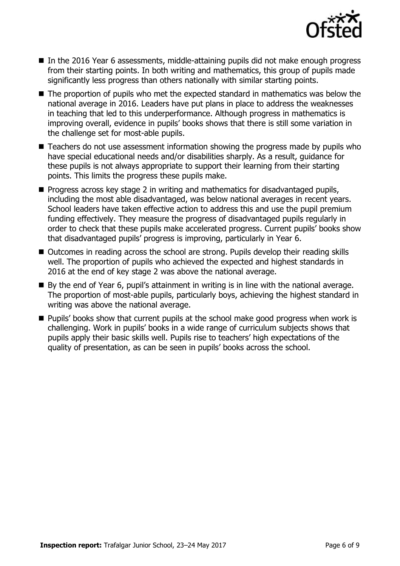

- In the 2016 Year 6 assessments, middle-attaining pupils did not make enough progress from their starting points. In both writing and mathematics, this group of pupils made significantly less progress than others nationally with similar starting points.
- The proportion of pupils who met the expected standard in mathematics was below the national average in 2016. Leaders have put plans in place to address the weaknesses in teaching that led to this underperformance. Although progress in mathematics is improving overall, evidence in pupils' books shows that there is still some variation in the challenge set for most-able pupils.
- Teachers do not use assessment information showing the progress made by pupils who have special educational needs and/or disabilities sharply. As a result, guidance for these pupils is not always appropriate to support their learning from their starting points. This limits the progress these pupils make.
- $\blacksquare$  Progress across key stage 2 in writing and mathematics for disadvantaged pupils, including the most able disadvantaged, was below national averages in recent years. School leaders have taken effective action to address this and use the pupil premium funding effectively. They measure the progress of disadvantaged pupils regularly in order to check that these pupils make accelerated progress. Current pupils' books show that disadvantaged pupils' progress is improving, particularly in Year 6.
- Outcomes in reading across the school are strong. Pupils develop their reading skills well. The proportion of pupils who achieved the expected and highest standards in 2016 at the end of key stage 2 was above the national average.
- By the end of Year 6, pupil's attainment in writing is in line with the national average. The proportion of most-able pupils, particularly boys, achieving the highest standard in writing was above the national average.
- **Pupils' books show that current pupils at the school make good progress when work is** challenging. Work in pupils' books in a wide range of curriculum subjects shows that pupils apply their basic skills well. Pupils rise to teachers' high expectations of the quality of presentation, as can be seen in pupils' books across the school.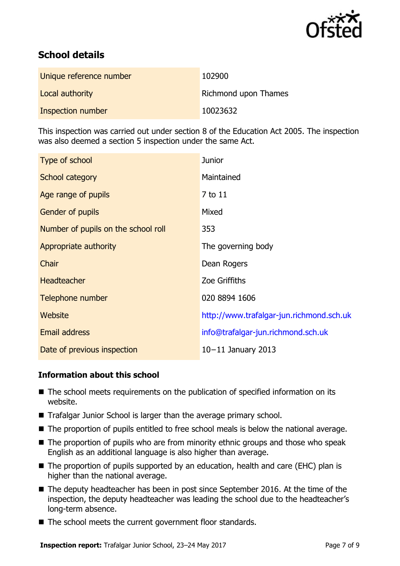

# **School details**

| Unique reference number | 102900                      |
|-------------------------|-----------------------------|
| Local authority         | <b>Richmond upon Thames</b> |
| Inspection number       | 10023632                    |

This inspection was carried out under section 8 of the Education Act 2005. The inspection was also deemed a section 5 inspection under the same Act.

| Type of school                      | <b>Junior</b>                            |
|-------------------------------------|------------------------------------------|
| School category                     | Maintained                               |
| Age range of pupils                 | 7 to 11                                  |
| <b>Gender of pupils</b>             | Mixed                                    |
| Number of pupils on the school roll | 353                                      |
| Appropriate authority               | The governing body                       |
| Chair                               | Dean Rogers                              |
| <b>Headteacher</b>                  | Zoe Griffiths                            |
| Telephone number                    | 020 8894 1606                            |
| Website                             | http://www.trafalgar-jun.richmond.sch.uk |
| <b>Email address</b>                | info@trafalgar-jun.richmond.sch.uk       |
| Date of previous inspection         | $10-11$ January 2013                     |

#### **Information about this school**

- The school meets requirements on the publication of specified information on its website.
- Trafalgar Junior School is larger than the average primary school.
- The proportion of pupils entitled to free school meals is below the national average.
- The proportion of pupils who are from minority ethnic groups and those who speak English as an additional language is also higher than average.
- The proportion of pupils supported by an education, health and care (EHC) plan is higher than the national average.
- The deputy headteacher has been in post since September 2016. At the time of the inspection, the deputy headteacher was leading the school due to the headteacher's long-term absence.
- The school meets the current government floor standards.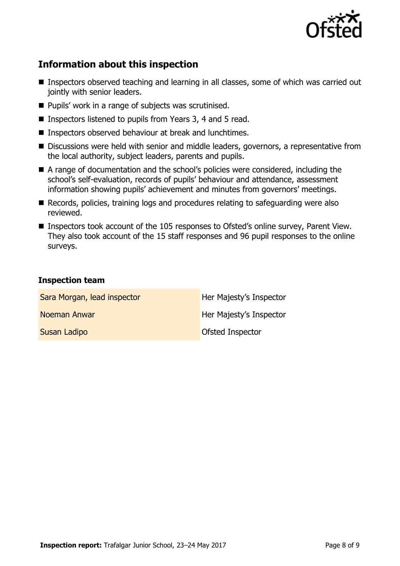

# **Information about this inspection**

- Inspectors observed teaching and learning in all classes, some of which was carried out jointly with senior leaders.
- Pupils' work in a range of subjects was scrutinised.
- Inspectors listened to pupils from Years 3, 4 and 5 read.
- Inspectors observed behaviour at break and lunchtimes.
- Discussions were held with senior and middle leaders, governors, a representative from the local authority, subject leaders, parents and pupils.
- A range of documentation and the school's policies were considered, including the school's self-evaluation, records of pupils' behaviour and attendance, assessment information showing pupils' achievement and minutes from governors' meetings.
- Records, policies, training logs and procedures relating to safeguarding were also reviewed.
- Inspectors took account of the 105 responses to Ofsted's online survey, Parent View. They also took account of the 15 staff responses and 96 pupil responses to the online surveys.

#### **Inspection team**

| Sara Morgan, lead inspector | Her Majesty's Inspector |
|-----------------------------|-------------------------|
| Noeman Anwar                | Her Majesty's Inspector |
| Susan Ladipo                | <b>Ofsted Inspector</b> |